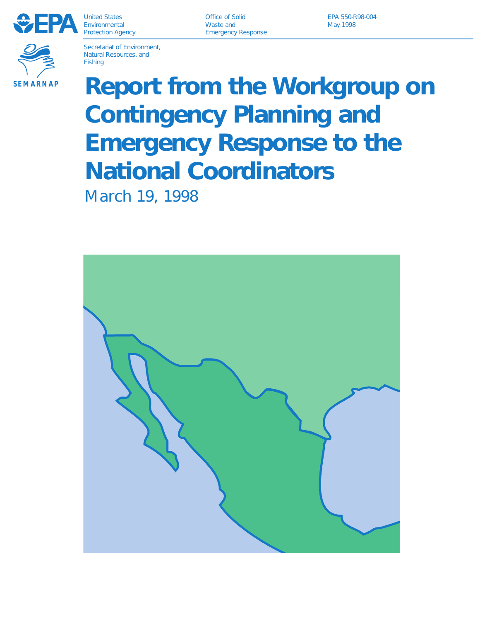

United States Environmental Protection Agency

Office of Solid Waste and Emergency Response

EPA 550-R98-004 May 1998



Secretariat of Environment, Natural Resources, and Fishing

# **Report from the Workgroup on Contingency Planning and Emergency Response to the National Coordinators**

March 19, 1998

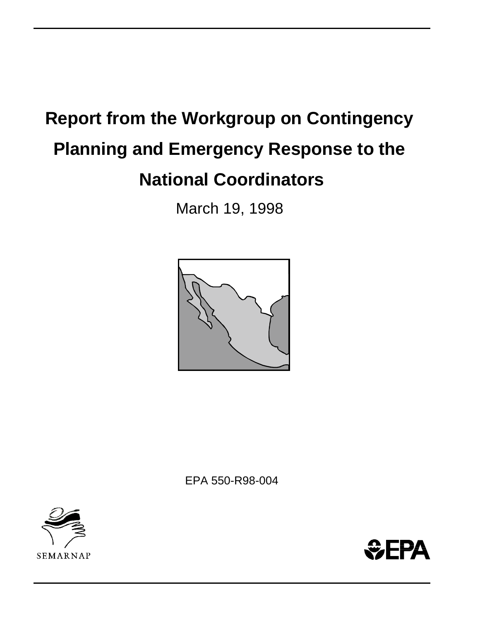# **Report from the Workgroup on Contingency Planning and Emergency Response to the National Coordinators**

March 19, 1998



EPA 550-R98-004



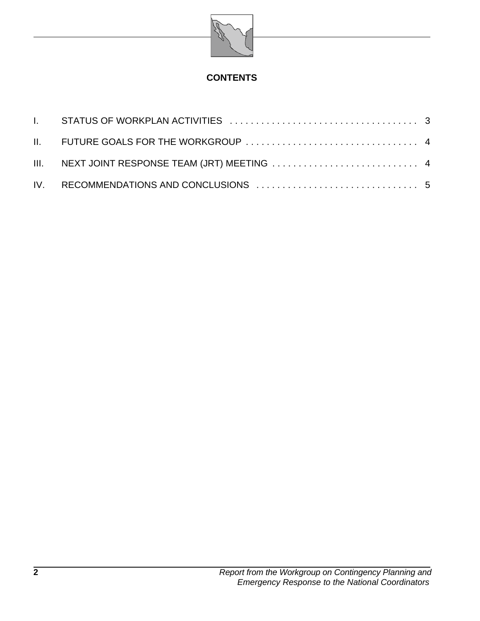

## **CONTENTS**

| III. NEXT JOINT RESPONSE TEAM (JRT) MEETING  4 |  |
|------------------------------------------------|--|
|                                                |  |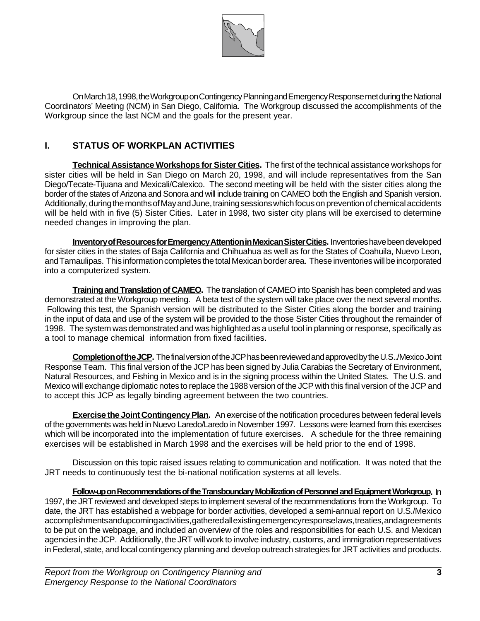

On March 18, 1998, the Workgroup on Contingency Planning and Emergency Response met during the National Coordinators' Meeting (NCM) in San Diego, California. The Workgroup discussed the accomplishments of the Workgroup since the last NCM and the goals for the present year.

#### **I. STATUS OF WORKPLAN ACTIVITIES**

**Technical Assistance Workshops for Sister Cities.** The first of the technical assistance workshops for sister cities will be held in San Diego on March 20, 1998, and will include representatives from the San Diego/Tecate-Tijuana and Mexicali/Calexico. The second meeting will be held with the sister cities along the border of the states of Arizona and Sonora and will include training on CAMEO both the English and Spanish version. Additionally, during the months of May and June, training sessions which focus on prevention of chemical accidents will be held with in five (5) Sister Cities. Later in 1998, two sister city plans will be exercised to determine needed changes in improving the plan.

**Inventory of Resources for Emergency Attention in Mexican Sister Cities.** Inventories have been developed for sister cities in the states of Baja California and Chihuahua as well as for the States of Coahuila, Nuevo Leon, and Tamaulipas. This information completes the total Mexican border area. These inventories will be incorporated into a computerized system.

**Training and Translation of CAMEO.** The translation of CAMEO into Spanish has been completed and was demonstrated at the Workgroup meeting. A beta test of the system will take place over the next several months. Following this test, the Spanish version will be distributed to the Sister Cities along the border and training in the input of data and use of the system will be provided to the those Sister Cities throughout the remainder of 1998. The system was demonstrated and was highlighted as a useful tool in planning or response, specifically as a tool to manage chemical information from fixed facilities.

**Completion of the JCP.** The final version of the JCP has been reviewed and approved by the U.S../Mexico Joint Response Team. This final version of the JCP has been signed by Julia Carabias the Secretary of Environment, Natural Resources, and Fishing in Mexico and is in the signing process within the United States. The U.S. and Mexico will exchange diplomatic notes to replace the 1988 version of the JCP with this final version of the JCP and to accept this JCP as legally binding agreement between the two countries.

**Exercise the Joint Contingency Plan.** An exercise of the notification procedures between federal levels of the governments was held in Nuevo Laredo/Laredo in November 1997. Lessons were learned from this exercises which will be incorporated into the implementation of future exercises. A schedule for the three remaining exercises will be established in March 1998 and the exercises will be held prior to the end of 1998.

Discussion on this topic raised issues relating to communication and notification. It was noted that the JRT needs to continuously test the bi-national notification systems at all levels.

**Follow-up on Recommendations of the Transboundary Mobilization of Personnel and Equipment Workgroup.** In 1997, the JRT reviewed and developed steps to implement several of the recommendations from the Workgroup. To date, the JRT has established a webpage for border activities, developed a semi-annual report on U.S./Mexico accomplishmentsand upcoming activities, gathered all existing emergency response laws, treaties, and agreements to be put on the webpage, and included an overview of the roles and responsibilities for each U.S. and Mexican agencies in the JCP. Additionally, the JRT will work to involve industry, customs, and immigration representatives in Federal, state, and local contingency planning and develop outreach strategies for JRT activities and products.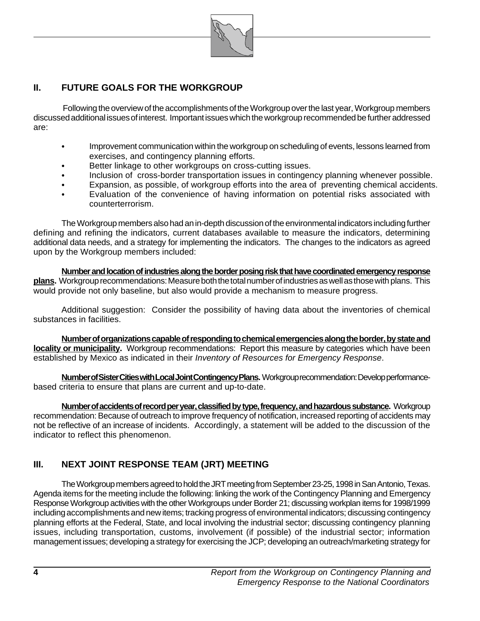

### **II. FUTURE GOALS FOR THE WORKGROUP**

 Following the overview of the accomplishments of the Workgroup over the last year, Workgroup members discussed additional issues of interest. Important issues which the workgroup recommended be further addressed are:

- Improvement communication within the workgroup on scheduling of events, lessons learned from exercises, and contingency planning efforts.
- Better linkage to other workgroups on cross-cutting issues.
- Inclusion of cross-border transportation issues in contingency planning whenever possible.
- Expansion, as possible, of workgroup efforts into the area of preventing chemical accidents.
- Evaluation of the convenience of having information on potential risks associated with counterterrorism.

The Workgroup members also had an in-depth discussion of the environmental indicators including further defining and refining the indicators, current databases available to measure the indicators, determining additional data needs, and a strategy for implementing the indicators. The changes to the indicators as agreed upon by the Workgroup members included:

**Number and location of industries along the border posing risk that have coordinated emergency response plans.** Workgroup recommendations: Measure both the total number of industries as well as those with plans. This would provide not only baseline, but also would provide a mechanism to measure progress.

Additional suggestion: Consider the possibility of having data about the inventories of chemical substances in facilities.

**Number of organizations capable of responding to chemical emergencies along the border, by state and locality or municipality.** Workgroup recommendations: Report this measure by categories which have been established by Mexico as indicated in their *Inventory of Resources for Emergency Response*.

**Number of Sister Cities with Local Joint Contingency Plans.** Workgroup recommendation: Develop performancebased criteria to ensure that plans are current and up-to-date.

**Number of accidents of record per year, classified by type, frequency, and hazardous substance.** Workgroup recommendation: Because of outreach to improve frequency of notification, increased reporting of accidents may not be reflective of an increase of incidents. Accordingly, a statement will be added to the discussion of the indicator to reflect this phenomenon.

#### **III. NEXT JOINT RESPONSE TEAM (JRT) MEETING**

The Workgroup members agreed to hold the JRT meeting from September 23-25, 1998 in San Antonio, Texas. Agenda items for the meeting include the following: linking the work of the Contingency Planning and Emergency Response Workgroup activities with the other Workgroups under Border 21; discussing workplan items for 1998/1999 including accomplishments and new items; tracking progress of environmental indicators; discussing contingency planning efforts at the Federal, State, and local involving the industrial sector; discussing contingency planning issues, including transportation, customs, involvement (if possible) of the industrial sector; information management issues; developing a strategy for exercising the JCP; developing an outreach/marketing strategy for